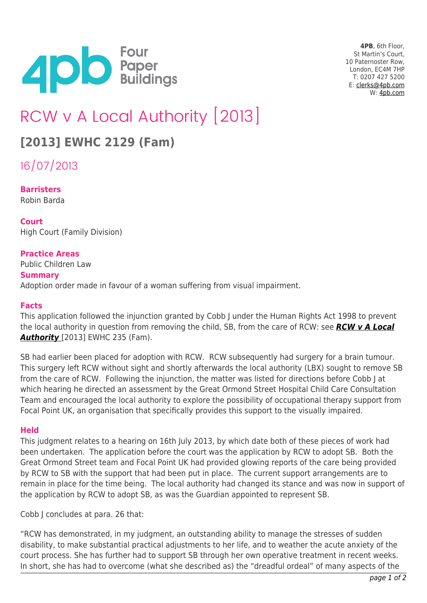

**4PB**, 6th Floor, St Martin's Court, 10 Paternoster Row, London, EC4M 7HP T: 0207 427 5200 E: [clerks@4pb.com](mailto:clerks@4pb.com) W: [4pb.com](http://4pb.com)

# RCW v A Local Authority [2013]

## **[2013] EWHC 2129 (Fam)**

16/07/2013

**Barristers** Robin Barda

### **Court**

High Court (Family Division)

#### **Practice Areas**

Public Children Law

#### **Summary**

Adoption order made in favour of a woman suffering from visual impairment.

#### **Facts**

This application followed the injunction granted by Cobb J under the Human Rights Act 1998 to prevent the local authority in question from removing the child, SB, from the care of RCW: see *[RCW v A Local](http://www.familylawweek.co.uk/site.aspx?i=ed111842) [Authority](http://www.familylawweek.co.uk/site.aspx?i=ed111842)* [2013] EWHC 235 (Fam).

SB had earlier been placed for adoption with RCW. RCW subsequently had surgery for a brain tumour. This surgery left RCW without sight and shortly afterwards the local authority (LBX) sought to remove SB from the care of RCW. Following the injunction, the matter was listed for directions before Cobb J at which hearing he directed an assessment by the Great Ormond Street Hospital Child Care Consultation Team and encouraged the local authority to explore the possibility of occupational therapy support from Focal Point UK, an organisation that specifically provides this support to the visually impaired.

#### **Held**

This judgment relates to a hearing on 16th July 2013, by which date both of these pieces of work had been undertaken. The application before the court was the application by RCW to adopt SB. Both the Great Ormond Street team and Focal Point UK had provided glowing reports of the care being provided by RCW to SB with the support that had been put in place. The current support arrangements are to remain in place for the time being. The local authority had changed its stance and was now in support of the application by RCW to adopt SB, as was the Guardian appointed to represent SB.

Cobb J concludes at para. 26 that:

"RCW has demonstrated, in my judgment, an outstanding ability to manage the stresses of sudden disability, to make substantial practical adjustments to her life, and to weather the acute anxiety of the court process. She has further had to support SB through her own operative treatment in recent weeks. In short, she has had to overcome (what she described as) the "dreadful ordeal" of many aspects of the